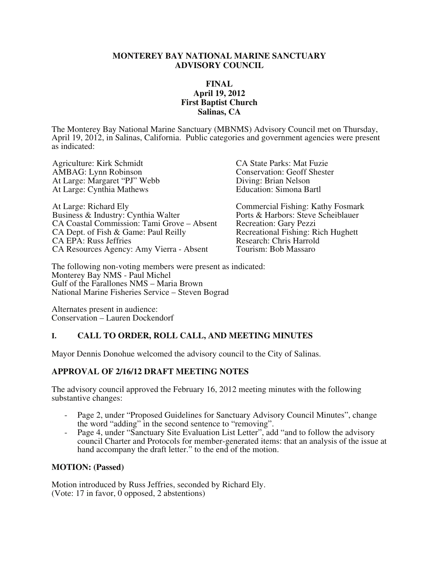#### **MONTEREY BAY NATIONAL MARINE SANCTUARY ADVISORY COUNCIL**

### **FINAL April 19, 2012 First Baptist Church Salinas, CA**

The Monterey Bay National Marine Sanctuary (MBNMS) Advisory Council met on Thursday, April 19, 2012, in Salinas, California. Public categories and government agencies were present as indicated:

Agriculture: Kirk Schmidt CA State Parks: Mat Fuzie AMBAG: Lynn Robinson<br>
At Large: Margaret "PJ" Webb<br>
Conservation: Geoff Shester<br>
Diving: Brian Nelson At Large: Margaret "PJ" Webb At Large: Cynthia Mathews **Education:** Simona Bartl

At Large: Richard Ely Commercial Fishing: Kathy Fosmark Business & Industry: Cynthia Walter Ports & Harbors: Steve Scheiblauer CA Coastal Commission: Tami Grove – Absent Recreation: Gary Pezzi<br>CA Dept. of Fish & Game: Paul Reilly Recreational Fishing: Rich Hughett CA Dept. of Fish & Game: Paul Reilly Recreational Fishing: Rich CA EPA: Russ Jeffries Recreational Fishing: Rich Research: Chris Harrold CA EPA: Russ Jeffries<br>
CA Resources Agency: Amy Vierra - Absent<br>
Tourism: Bob Massaro CA Resources Agency: Amy Vierra - Absent

The following non-voting members were present as indicated: Monterey Bay NMS - Paul Michel Gulf of the Farallones NMS – Maria Brown National Marine Fisheries Service – Steven Bograd

Alternates present in audience: Conservation – Lauren Dockendorf

# **I. CALL TO ORDER, ROLL CALL, AND MEETING MINUTES**

Mayor Dennis Donohue welcomed the advisory council to the City of Salinas.

# **APPROVAL OF 2/16/12 DRAFT MEETING NOTES**

The advisory council approved the February 16, 2012 meeting minutes with the following substantive changes:

- Page 2, under "Proposed Guidelines for Sanctuary Advisory Council Minutes", change the word "adding" in the second sentence to "removing".
- Page 4, under "Sanctuary Site Evaluation List Letter", add "and to follow the advisory council Charter and Protocols for member-generated items: that an analysis of the issue at hand accompany the draft letter." to the end of the motion.

#### **MOTION: (Passed)**

Motion introduced by Russ Jeffries, seconded by Richard Ely. (Vote: 17 in favor, 0 opposed, 2 abstentions)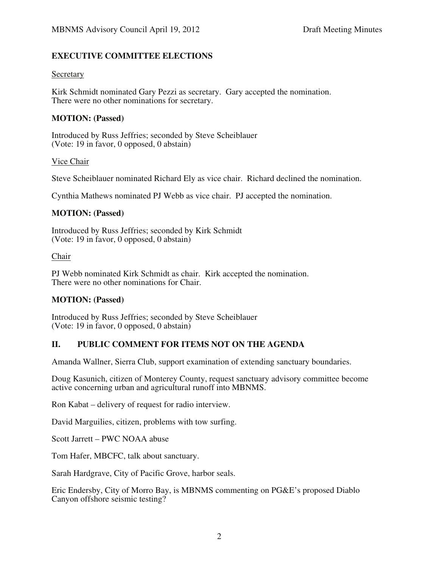# **EXECUTIVE COMMITTEE ELECTIONS**

#### Secretary

Kirk Schmidt nominated Gary Pezzi as secretary. Gary accepted the nomination. There were no other nominations for secretary.

#### **MOTION: (Passed)**

Introduced by Russ Jeffries; seconded by Steve Scheiblauer (Vote: 19 in favor, 0 opposed, 0 abstain)

#### Vice Chair

Steve Scheiblauer nominated Richard Ely as vice chair. Richard declined the nomination.

Cynthia Mathews nominated PJ Webb as vice chair. PJ accepted the nomination.

#### **MOTION: (Passed)**

Introduced by Russ Jeffries; seconded by Kirk Schmidt (Vote: 19 in favor, 0 opposed, 0 abstain)

#### Chair

PJ Webb nominated Kirk Schmidt as chair. Kirk accepted the nomination. There were no other nominations for Chair.

#### **MOTION: (Passed)**

Introduced by Russ Jeffries; seconded by Steve Scheiblauer (Vote: 19 in favor, 0 opposed, 0 abstain)

#### **II. PUBLIC COMMENT FOR ITEMS NOT ON THE AGENDA**

Amanda Wallner, Sierra Club, support examination of extending sanctuary boundaries.

Doug Kasunich, citizen of Monterey County, request sanctuary advisory committee become active concerning urban and agricultural runoff into MBNMS.

Ron Kabat – delivery of request for radio interview.

David Marguilies, citizen, problems with tow surfing.

Scott Jarrett – PWC NOAA abuse

Tom Hafer, MBCFC, talk about sanctuary.

Sarah Hardgrave, City of Pacific Grove, harbor seals.

Eric Endersby, City of Morro Bay, is MBNMS commenting on PG&E's proposed Diablo Canyon offshore seismic testing?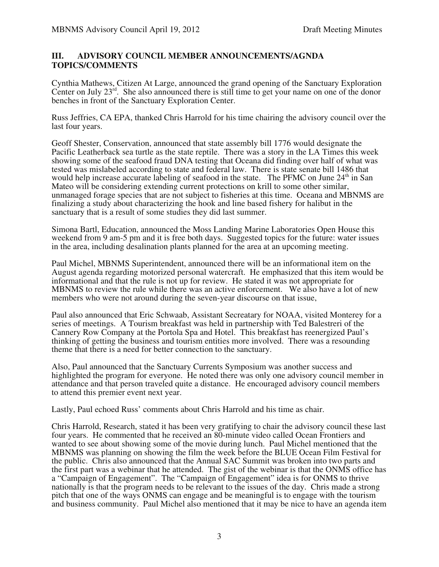### **III. ADVISORY COUNCIL MEMBER ANNOUNCEMENTS/AGNDA TOPICS/COMMENTS**

Cynthia Mathews, Citizen At Large, announced the grand opening of the Sanctuary Exploration Center on July  $23^{rd}$ . She also announced there is still time to get your name on one of the donor benches in front of the Sanctuary Exploration Center.

Russ Jeffries, CA EPA, thanked Chris Harrold for his time chairing the advisory council over the last four years.

Geoff Shester, Conservation, announced that state assembly bill 1776 would designate the Pacific Leatherback sea turtle as the state reptile. There was a story in the LA Times this week showing some of the seafood fraud DNA testing that Oceana did finding over half of what was tested was mislabeled according to state and federal law. There is state senate bill 1486 that would help increase accurate labeling of seafood in the state. The PFMC on June 24<sup>th</sup> in San Mateo will be considering extending current protections on krill to some other similar, unmanaged forage species that are not subject to fisheries at this time. Oceana and MBNMS are finalizing a study about characterizing the hook and line based fishery for halibut in the sanctuary that is a result of some studies they did last summer.

Simona Bartl, Education, announced the Moss Landing Marine Laboratories Open House this weekend from 9 am-5 pm and it is free both days. Suggested topics for the future: water issues in the area, including desalination plants planned for the area at an upcoming meeting.

Paul Michel, MBNMS Superintendent, announced there will be an informational item on the August agenda regarding motorized personal watercraft. He emphasized that this item would be informational and that the rule is not up for review. He stated it was not appropriate for MBNMS to review the rule while there was an active enforcement. We also have a lot of new members who were not around during the seven-year discourse on that issue,

Paul also announced that Eric Schwaab, Assistant Secreatary for NOAA, visited Monterey for a series of meetings. A Tourism breakfast was held in partnership with Ted Balestreri of the Cannery Row Company at the Portola Spa and Hotel. This breakfast has reenergized Paul's thinking of getting the business and tourism entities more involved. There was a resounding theme that there is a need for better connection to the sanctuary.

Also, Paul announced that the Sanctuary Currents Symposium was another success and highlighted the program for everyone. He noted there was only one advisory council member in attendance and that person traveled quite a distance. He encouraged advisory council members to attend this premier event next year.

Lastly, Paul echoed Russ' comments about Chris Harrold and his time as chair.

Chris Harrold, Research, stated it has been very gratifying to chair the advisory council these last four years. He commented that he received an 80-minute video called Ocean Frontiers and wanted to see about showing some of the movie during lunch. Paul Michel mentioned that the MBNMS was planning on showing the film the week before the BLUE Ocean Film Festival for the public. Chris also announced that the Annual SAC Summit was broken into two parts and the first part was a webinar that he attended. The gist of the webinar is that the ONMS office has a "Campaign of Engagement". The "Campaign of Engagement" idea is for ONMS to thrive nationally is that the program needs to be relevant to the issues of the day. Chris made a strong pitch that one of the ways ONMS can engage and be meaningful is to engage with the tourism and business community. Paul Michel also mentioned that it may be nice to have an agenda item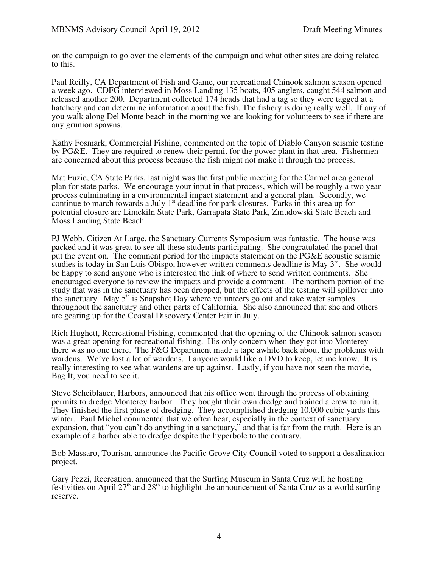on the campaign to go over the elements of the campaign and what other sites are doing related to this.

Paul Reilly, CA Department of Fish and Game, our recreational Chinook salmon season opened a week ago. CDFG interviewed in Moss Landing 135 boats, 405 anglers, caught 544 salmon and released another 200. Department collected 174 heads that had a tag so they were tagged at a hatchery and can determine information about the fish. The fishery is doing really well. If any of you walk along Del Monte beach in the morning we are looking for volunteers to see if there are any grunion spawns.

Kathy Fosmark, Commercial Fishing, commented on the topic of Diablo Canyon seismic testing by PG&E. They are required to renew their permit for the power plant in that area. Fishermen are concerned about this process because the fish might not make it through the process.

Mat Fuzie, CA State Parks, last night was the first public meeting for the Carmel area general plan for state parks. We encourage your input in that process, which will be roughly a two year process culminating in a environmental impact statement and a general plan. Secondly, we continue to march towards a July  $1<sup>st</sup>$  deadline for park closures. Parks in this area up for potential closure are Limekiln State Park, Garrapata State Park, Zmudowski State Beach and Moss Landing State Beach.

PJ Webb, Citizen At Large, the Sanctuary Currents Symposium was fantastic. The house was packed and it was great to see all these students participating. She congratulated the panel that put the event on. The comment period for the impacts statement on the PG&E acoustic seismic studies is today in San Luis Obispo, however written comments deadline is May  $3<sup>rd</sup>$ . She would be happy to send anyone who is interested the link of where to send written comments. She encouraged everyone to review the impacts and provide a comment. The northern portion of the study that was in the sanctuary has been dropped, but the effects of the testing will spillover into the sanctuary. May  $5<sup>th</sup>$  is Snapshot Day where volunteers go out and take water samples throughout the sanctuary and other parts of California. She also announced that she and others are gearing up for the Coastal Discovery Center Fair in July.

Rich Hughett, Recreational Fishing, commented that the opening of the Chinook salmon season was a great opening for recreational fishing. His only concern when they got into Monterey there was no one there. The F&G Department made a tape awhile back about the problems with wardens. We've lost a lot of wardens. I anyone would like a DVD to keep, let me know. It is really interesting to see what wardens are up against. Lastly, if you have not seen the movie, Bag It, you need to see it.

Steve Scheiblauer, Harbors, announced that his office went through the process of obtaining permits to dredge Monterey harbor. They bought their own dredge and trained a crew to run it. They finished the first phase of dredging. They accomplished dredging 10,000 cubic yards this winter. Paul Michel commented that we often hear, especially in the context of sanctuary expansion, that "you can't do anything in a sanctuary," and that is far from the truth. Here is an example of a harbor able to dredge despite the hyperbole to the contrary.

Bob Massaro, Tourism, announce the Pacific Grove City Council voted to support a desalination project.

Gary Pezzi, Recreation, announced that the Surfing Museum in Santa Cruz will he hosting festivities on April  $27<sup>th</sup>$  and  $28<sup>th</sup>$  to highlight the announcement of Santa Cruz as a world surfing reserve.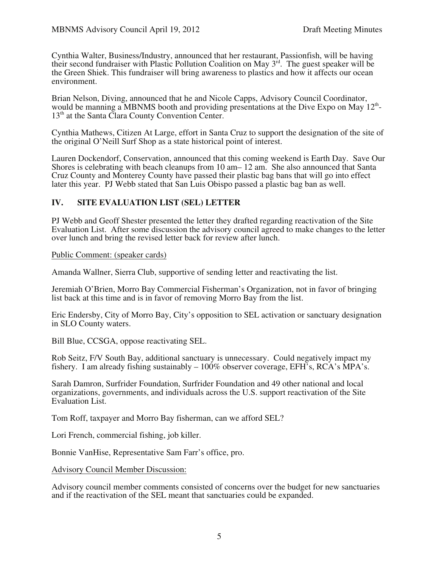Cynthia Walter, Business/Industry, announced that her restaurant, Passionfish, will be having their second fundraiser with Plastic Pollution Coalition on May 3<sup>rd</sup>. The guest speaker will be the Green Shiek. This fundraiser will bring awareness to plastics and how it affects our ocean environment.

Brian Nelson, Diving, announced that he and Nicole Capps, Advisory Council Coordinator, would be manning a MBNMS booth and providing presentations at the Dive Expo on May  $12<sup>th</sup>$ - $13<sup>th</sup>$  at the Santa Clara County Convention Center.

Cynthia Mathews, Citizen At Large, effort in Santa Cruz to support the designation of the site of the original O'Neill Surf Shop as a state historical point of interest.

Lauren Dockendorf, Conservation, announced that this coming weekend is Earth Day. Save Our Shores is celebrating with beach cleanups from 10 am– 12 am. She also announced that Santa Cruz County and Monterey County have passed their plastic bag bans that will go into effect later this year. PJ Webb stated that San Luis Obispo passed a plastic bag ban as well.

# **IV. SITE EVALUATION LIST (SEL) LETTER**

PJ Webb and Geoff Shester presented the letter they drafted regarding reactivation of the Site Evaluation List. After some discussion the advisory council agreed to make changes to the letter over lunch and bring the revised letter back for review after lunch.

#### Public Comment: (speaker cards)

Amanda Wallner, Sierra Club, supportive of sending letter and reactivating the list.

Jeremiah O'Brien, Morro Bay Commercial Fisherman's Organization, not in favor of bringing list back at this time and is in favor of removing Morro Bay from the list.

Eric Endersby, City of Morro Bay, City's opposition to SEL activation or sanctuary designation in SLO County waters.

Bill Blue, CCSGA, oppose reactivating SEL.

Rob Seitz, F/V South Bay, additional sanctuary is unnecessary. Could negatively impact my fishery. I am already fishing sustainably – 100% observer coverage, EFH's, RCA's MPA's.

Sarah Damron, Surfrider Foundation, Surfrider Foundation and 49 other national and local organizations, governments, and individuals across the U.S. support reactivation of the Site Evaluation List.

Tom Roff, taxpayer and Morro Bay fisherman, can we afford SEL?

Lori French, commercial fishing, job killer.

Bonnie VanHise, Representative Sam Farr's office, pro.

Advisory Council Member Discussion:

Advisory council member comments consisted of concerns over the budget for new sanctuaries and if the reactivation of the SEL meant that sanctuaries could be expanded.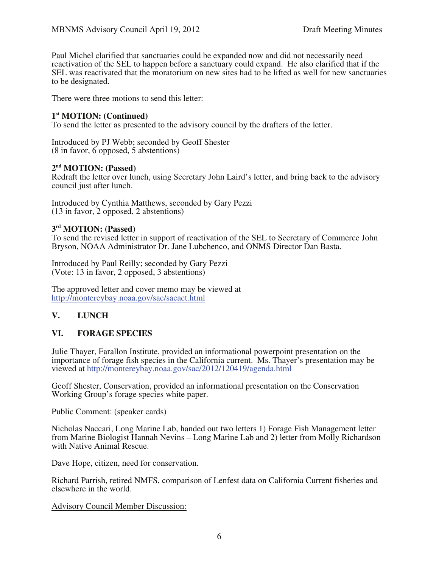Paul Michel clarified that sanctuaries could be expanded now and did not necessarily need reactivation of the SEL to happen before a sanctuary could expand. He also clarified that if the SEL was reactivated that the moratorium on new sites had to be lifted as well for new sanctuaries to be designated.

There were three motions to send this letter:

#### **1st MOTION: (Continued)**

To send the letter as presented to the advisory council by the drafters of the letter.

Introduced by PJ Webb; seconded by Geoff Shester (8 in favor, 6 opposed, 5 abstentions)

#### **2nd MOTION: (Passed)**

Redraft the letter over lunch, using Secretary John Laird's letter, and bring back to the advisory council just after lunch.

Introduced by Cynthia Matthews, seconded by Gary Pezzi (13 in favor, 2 opposed, 2 abstentions)

### **3rd MOTION: (Passed)**

To send the revised letter in support of reactivation of the SEL to Secretary of Commerce John Bryson, NOAA Administrator Dr. Jane Lubchenco, and ONMS Director Dan Basta.

Introduced by Paul Reilly; seconded by Gary Pezzi (Vote: 13 in favor, 2 opposed, 3 abstentions)

The approved letter and cover memo may be viewed at http://montereybay.noaa.gov/sac/sacact.html

# **V. LUNCH**

# **VI. FORAGE SPECIES**

Julie Thayer, Farallon Institute, provided an informational powerpoint presentation on the importance of forage fish species in the California current. Ms. Thayer's presentation may be viewed at http://montereybay.noaa.gov/sac/2012/120419/agenda.html

Geoff Shester, Conservation, provided an informational presentation on the Conservation Working Group's forage species white paper.

Public Comment: (speaker cards)

Nicholas Naccari, Long Marine Lab, handed out two letters 1) Forage Fish Management letter from Marine Biologist Hannah Nevins – Long Marine Lab and 2) letter from Molly Richardson with Native Animal Rescue.

Dave Hope, citizen, need for conservation.

Richard Parrish, retired NMFS, comparison of Lenfest data on California Current fisheries and elsewhere in the world.

Advisory Council Member Discussion: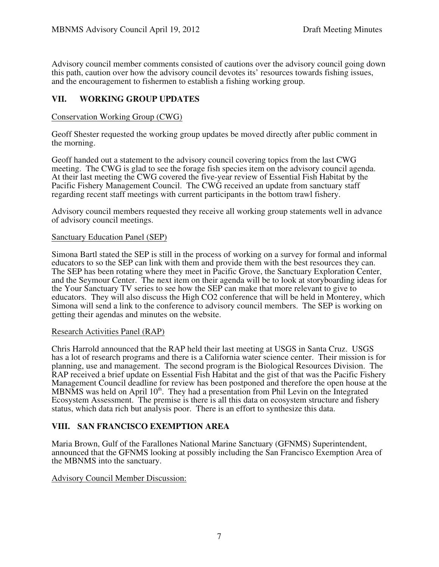Advisory council member comments consisted of cautions over the advisory council going down this path, caution over how the advisory council devotes its' resources towards fishing issues, and the encouragement to fishermen to establish a fishing working group.

# **VII. WORKING GROUP UPDATES**

### Conservation Working Group (CWG)

Geoff Shester requested the working group updates be moved directly after public comment in the morning.

Geoff handed out a statement to the advisory council covering topics from the last CWG meeting. The CWG is glad to see the forage fish species item on the advisory council agenda. At their last meeting the CWG covered the five-year review of Essential Fish Habitat by the Pacific Fishery Management Council. The CWG received an update from sanctuary staff regarding recent staff meetings with current participants in the bottom trawl fishery.

Advisory council members requested they receive all working group statements well in advance of advisory council meetings.

#### Sanctuary Education Panel (SEP)

Simona Bartl stated the SEP is still in the process of working on a survey for formal and informal educators to so the SEP can link with them and provide them with the best resources they can. The SEP has been rotating where they meet in Pacific Grove, the Sanctuary Exploration Center, and the Seymour Center. The next item on their agenda will be to look at storyboarding ideas for the Your Sanctuary TV series to see how the SEP can make that more relevant to give to educators. They will also discuss the High CO2 conference that will be held in Monterey, which Simona will send a link to the conference to advisory council members. The SEP is working on getting their agendas and minutes on the website.

#### Research Activities Panel (RAP)

Chris Harrold announced that the RAP held their last meeting at USGS in Santa Cruz. USGS has a lot of research programs and there is a California water science center. Their mission is for planning, use and management. The second program is the Biological Resources Division. The RAP received a brief update on Essential Fish Habitat and the gist of that was the Pacific Fishery Management Council deadline for review has been postponed and therefore the open house at the MBNMS was held on April  $10<sup>th</sup>$ . They had a presentation from Phil Levin on the Integrated Ecosystem Assessment. The premise is there is all this data on ecosystem structure and fishery status, which data rich but analysis poor. There is an effort to synthesize this data.

# **VIII. SAN FRANCISCO EXEMPTION AREA**

Maria Brown, Gulf of the Farallones National Marine Sanctuary (GFNMS) Superintendent, announced that the GFNMS looking at possibly including the San Francisco Exemption Area of the MBNMS into the sanctuary.

Advisory Council Member Discussion: